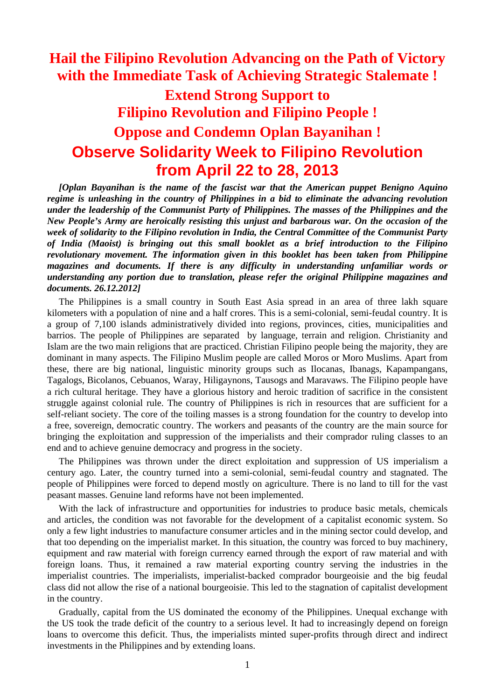## **Hail the Filipino Revolution Advancing on the Path of Victory with the Immediate Task of Achieving Strategic Stalemate !**

# **Extend Strong Support to Filipino Revolution and Filipino People ! Oppose and Condemn Oplan Bayanihan ! Observe Solidarity Week to Filipino Revolution from April 22 to 28, 2013**

*[Oplan Bayanihan is the name of the fascist war that the American puppet Benigno Aquino regime is unleashing in the country of Philippines in a bid to eliminate the advancing revolution under the leadership of the Communist Party of Philippines. The masses of the Philippines and the New People's Army are heroically resisting this unjust and barbarous war. On the occasion of the week of solidarity to the Filipino revolution in India, the Central Committee of the Communist Party of India (Maoist) is bringing out this small booklet as a brief introduction to the Filipino revolutionary movement. The information given in this booklet has been taken from Philippine magazines and documents. If there is any difficulty in understanding unfamiliar words or understanding any portion due to translation, please refer the original Philippine magazines and documents. 26.12.2012]*

The Philippines is a small country in South East Asia spread in an area of three lakh square kilometers with a population of nine and a half crores. This is a semi-colonial, semi-feudal country. It is a group of 7,100 islands administratively divided into regions, provinces, cities, municipalities and barrios. The people of Philippines are separated by language, terrain and religion. Christianity and Islam are the two main religions that are practiced. Christian Filipino people being the majority, they are dominant in many aspects. The Filipino Muslim people are called Moros or Moro Muslims. Apart from these, there are big national, linguistic minority groups such as Ilocanas, Ibanags, Kapampangans, Tagalogs, Bicolanos, Cebuanos, Waray, Hiligaynons, Tausogs and Maravaws. The Filipino people have a rich cultural heritage. They have a glorious history and heroic tradition of sacrifice in the consistent struggle against colonial rule. The country of Philippines is rich in resources that are sufficient for a self-reliant society. The core of the toiling masses is a strong foundation for the country to develop into a free, sovereign, democratic country. The workers and peasants of the country are the main source for bringing the exploitation and suppression of the imperialists and their comprador ruling classes to an end and to achieve genuine democracy and progress in the society.

The Philippines was thrown under the direct exploitation and suppression of US imperialism a century ago. Later, the country turned into a semi-colonial, semi-feudal country and stagnated. The people of Philippines were forced to depend mostly on agriculture. There is no land to till for the vast peasant masses. Genuine land reforms have not been implemented.

With the lack of infrastructure and opportunities for industries to produce basic metals, chemicals and articles, the condition was not favorable for the development of a capitalist economic system. So only a few light industries to manufacture consumer articles and in the mining sector could develop, and that too depending on the imperialist market. In this situation, the country was forced to buy machinery, equipment and raw material with foreign currency earned through the export of raw material and with foreign loans. Thus, it remained a raw material exporting country serving the industries in the imperialist countries. The imperialists, imperialist-backed comprador bourgeoisie and the big feudal class did not allow the rise of a national bourgeoisie. This led to the stagnation of capitalist development in the country.

Gradually, capital from the US dominated the economy of the Philippines. Unequal exchange with the US took the trade deficit of the country to a serious level. It had to increasingly depend on foreign loans to overcome this deficit. Thus, the imperialists minted super-profits through direct and indirect investments in the Philippines and by extending loans.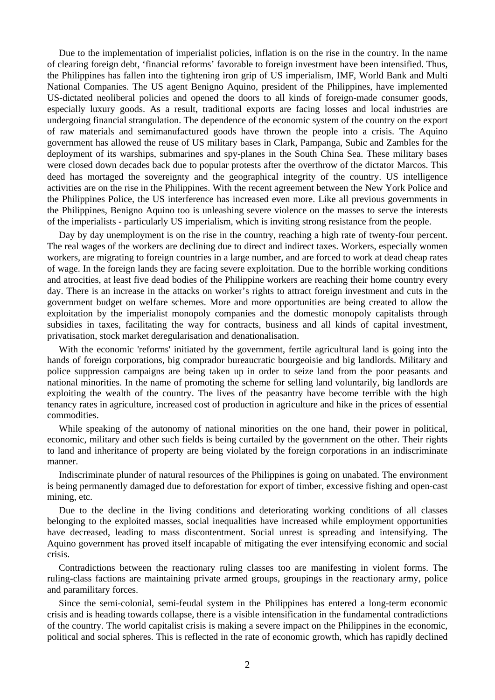Due to the implementation of imperialist policies, inflation is on the rise in the country. In the name of clearing foreign debt, 'financial reforms' favorable to foreign investment have been intensified. Thus, the Philippines has fallen into the tightening iron grip of US imperialism, IMF, World Bank and Multi National Companies. The US agent Benigno Aquino, president of the Philippines, have implemented US-dictated neoliberal policies and opened the doors to all kinds of foreign-made consumer goods, especially luxury goods. As a result, traditional exports are facing losses and local industries are undergoing financial strangulation. The dependence of the economic system of the country on the export of raw materials and semimanufactured goods have thrown the people into a crisis. The Aquino government has allowed the reuse of US military bases in Clark, Pampanga, Subic and Zambles for the deployment of its warships, submarines and spy-planes in the South China Sea. These military bases were closed down decades back due to popular protests after the overthrow of the dictator Marcos. This deed has mortaged the sovereignty and the geographical integrity of the country. US intelligence activities are on the rise in the Philippines. With the recent agreement between the New York Police and the Philippines Police, the US interference has increased even more. Like all previous governments in the Philippines, Benigno Aquino too is unleashing severe violence on the masses to serve the interests of the imperialists - particularly US imperialism, which is inviting strong resistance from the people.

Day by day unemployment is on the rise in the country, reaching a high rate of twenty-four percent. The real wages of the workers are declining due to direct and indirect taxes. Workers, especially women workers, are migrating to foreign countries in a large number, and are forced to work at dead cheap rates of wage. In the foreign lands they are facing severe exploitation. Due to the horrible working conditions and atrocities, at least five dead bodies of the Philippine workers are reaching their home country every day. There is an increase in the attacks on worker's rights to attract foreign investment and cuts in the government budget on welfare schemes. More and more opportunities are being created to allow the exploitation by the imperialist monopoly companies and the domestic monopoly capitalists through subsidies in taxes, facilitating the way for contracts, business and all kinds of capital investment, privatisation, stock market deregularisation and denationalisation.

With the economic 'reforms' initiated by the government, fertile agricultural land is going into the hands of foreign corporations, big comprador bureaucratic bourgeoisie and big landlords. Military and police suppression campaigns are being taken up in order to seize land from the poor peasants and national minorities. In the name of promoting the scheme for selling land voluntarily, big landlords are exploiting the wealth of the country. The lives of the peasantry have become terrible with the high tenancy rates in agriculture, increased cost of production in agriculture and hike in the prices of essential commodities.

While speaking of the autonomy of national minorities on the one hand, their power in political, economic, military and other such fields is being curtailed by the government on the other. Their rights to land and inheritance of property are being violated by the foreign corporations in an indiscriminate manner.

Indiscriminate plunder of natural resources of the Philippines is going on unabated. The environment is being permanently damaged due to deforestation for export of timber, excessive fishing and open-cast mining, etc.

Due to the decline in the living conditions and deteriorating working conditions of all classes belonging to the exploited masses, social inequalities have increased while employment opportunities have decreased, leading to mass discontentment. Social unrest is spreading and intensifying. The Aquino government has proved itself incapable of mitigating the ever intensifying economic and social crisis.

Contradictions between the reactionary ruling classes too are manifesting in violent forms. The ruling-class factions are maintaining private armed groups, groupings in the reactionary army, police and paramilitary forces.

Since the semi-colonial, semi-feudal system in the Philippines has entered a long-term economic crisis and is heading towards collapse, there is a visible intensification in the fundamental contradictions of the country. The world capitalist crisis is making a severe impact on the Philippines in the economic, political and social spheres. This is reflected in the rate of economic growth, which has rapidly declined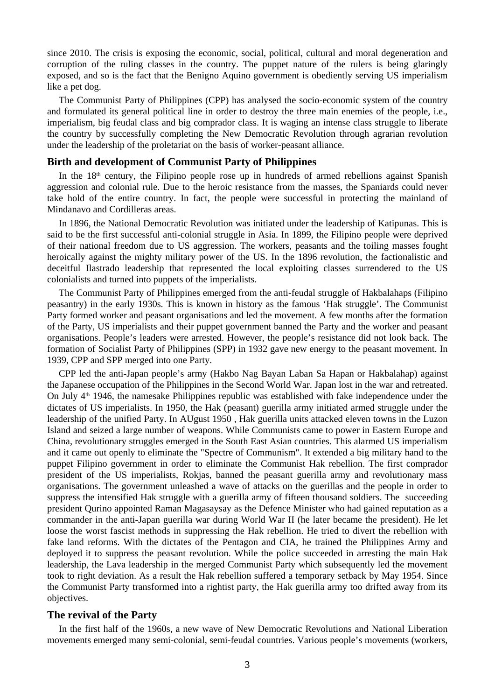since 2010. The crisis is exposing the economic, social, political, cultural and moral degeneration and corruption of the ruling classes in the country. The puppet nature of the rulers is being glaringly exposed, and so is the fact that the Benigno Aquino government is obediently serving US imperialism like a pet dog.

The Communist Party of Philippines (CPP) has analysed the socio-economic system of the country and formulated its general political line in order to destroy the three main enemies of the people, i.e., imperialism, big feudal class and big comprador class. It is waging an intense class struggle to liberate the country by successfully completing the New Democratic Revolution through agrarian revolution under the leadership of the proletariat on the basis of worker-peasant alliance.

## **Birth and development of Communist Party of Philippines**

In the  $18<sup>th</sup>$  century, the Filipino people rose up in hundreds of armed rebellions against Spanish aggression and colonial rule. Due to the heroic resistance from the masses, the Spaniards could never take hold of the entire country. In fact, the people were successful in protecting the mainland of Mindanavo and Cordilleras areas.

In 1896, the National Democratic Revolution was initiated under the leadership of Katipunas. This is said to be the first successful anti-colonial struggle in Asia. In 1899, the Filipino people were deprived of their national freedom due to US aggression. The workers, peasants and the toiling masses fought heroically against the mighty military power of the US. In the 1896 revolution, the factionalistic and deceitful Ilastrado leadership that represented the local exploiting classes surrendered to the US colonialists and turned into puppets of the imperialists.

The Communist Party of Philippines emerged from the anti-feudal struggle of Hakbalahaps (Filipino peasantry) in the early 1930s. This is known in history as the famous 'Hak struggle'. The Communist Party formed worker and peasant organisations and led the movement. A few months after the formation of the Party, US imperialists and their puppet government banned the Party and the worker and peasant organisations. People's leaders were arrested. However, the people's resistance did not look back. The formation of Socialist Party of Philippines (SPP) in 1932 gave new energy to the peasant movement. In 1939, CPP and SPP merged into one Party.

CPP led the anti-Japan people's army (Hakbo Nag Bayan Laban Sa Hapan or Hakbalahap) against the Japanese occupation of the Philippines in the Second World War. Japan lost in the war and retreated. On July  $4<sup>th</sup>$  1946, the namesake Philippines republic was established with fake independence under the dictates of US imperialists. In 1950, the Hak (peasant) guerilla army initiated armed struggle under the leadership of the unified Party. In AUgust 1950 , Hak guerilla units attacked eleven towns in the Luzon Island and seized a large number of weapons. While Communists came to power in Eastern Europe and China, revolutionary struggles emerged in the South East Asian countries. This alarmed US imperialism and it came out openly to eliminate the "Spectre of Communism". It extended a big military hand to the puppet Filipino government in order to eliminate the Communist Hak rebellion. The first comprador president of the US imperialists, Rokjas, banned the peasant guerilla army and revolutionary mass organisations. The government unleashed a wave of attacks on the guerillas and the people in order to suppress the intensified Hak struggle with a guerilla army of fifteen thousand soldiers. The succeeding president Qurino appointed Raman Magasaysay as the Defence Minister who had gained reputation as a commander in the anti-Japan guerilla war during World War II (he later became the president). He let loose the worst fascist methods in suppressing the Hak rebellion. He tried to divert the rebellion with fake land reforms. With the dictates of the Pentagon and CIA, he trained the Philippines Army and deployed it to suppress the peasant revolution. While the police succeeded in arresting the main Hak leadership, the Lava leadership in the merged Communist Party which subsequently led the movement took to right deviation. As a result the Hak rebellion suffered a temporary setback by May 1954. Since the Communist Party transformed into a rightist party, the Hak guerilla army too drifted away from its objectives.

#### **The revival of the Party**

In the first half of the 1960s, a new wave of New Democratic Revolutions and National Liberation movements emerged many semi-colonial, semi-feudal countries. Various people's movements (workers,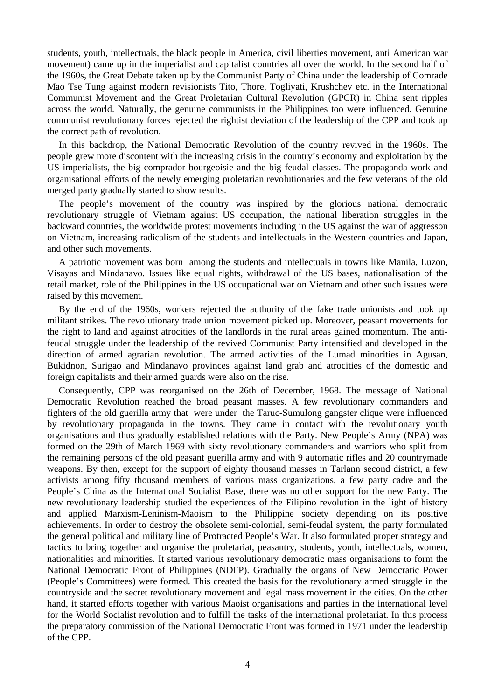students, youth, intellectuals, the black people in America, civil liberties movement, anti American war movement) came up in the imperialist and capitalist countries all over the world. In the second half of the 1960s, the Great Debate taken up by the Communist Party of China under the leadership of Comrade Mao Tse Tung against modern revisionists Tito, Thore, Togliyati, Krushchev etc. in the International Communist Movement and the Great Proletarian Cultural Revolution (GPCR) in China sent ripples across the world. Naturally, the genuine communists in the Philippines too were influenced. Genuine communist revolutionary forces rejected the rightist deviation of the leadership of the CPP and took up the correct path of revolution.

In this backdrop, the National Democratic Revolution of the country revived in the 1960s. The people grew more discontent with the increasing crisis in the country's economy and exploitation by the US imperialists, the big comprador bourgeoisie and the big feudal classes. The propaganda work and organisational efforts of the newly emerging proletarian revolutionaries and the few veterans of the old merged party gradually started to show results.

The people's movement of the country was inspired by the glorious national democratic revolutionary struggle of Vietnam against US occupation, the national liberation struggles in the backward countries, the worldwide protest movements including in the US against the war of aggresson on Vietnam, increasing radicalism of the students and intellectuals in the Western countries and Japan, and other such movements.

A patriotic movement was born among the students and intellectuals in towns like Manila, Luzon, Visayas and Mindanavo. Issues like equal rights, withdrawal of the US bases, nationalisation of the retail market, role of the Philippines in the US occupational war on Vietnam and other such issues were raised by this movement.

By the end of the 1960s, workers rejected the authority of the fake trade unionists and took up militant strikes. The revolutionary trade union movement picked up. Moreover, peasant movements for the right to land and against atrocities of the landlords in the rural areas gained momentum. The antifeudal struggle under the leadership of the revived Communist Party intensified and developed in the direction of armed agrarian revolution. The armed activities of the Lumad minorities in Agusan, Bukidnon, Surigao and Mindanavo provinces against land grab and atrocities of the domestic and foreign capitalists and their armed guards were also on the rise.

Consequently, CPP was reorganised on the 26th of December, 1968. The message of National Democratic Revolution reached the broad peasant masses. A few revolutionary commanders and fighters of the old guerilla army that were under the Taruc-Sumulong gangster clique were influenced by revolutionary propaganda in the towns. They came in contact with the revolutionary youth organisations and thus gradually established relations with the Party. New People's Army (NPA) was formed on the 29th of March 1969 with sixty revolutionary commanders and warriors who split from the remaining persons of the old peasant guerilla army and with 9 automatic rifles and 20 countrymade weapons. By then, except for the support of eighty thousand masses in Tarlann second district, a few activists among fifty thousand members of various mass organizations, a few party cadre and the People's China as the International Socialist Base, there was no other support for the new Party. The new revolutionary leadership studied the experiences of the Filipino revolution in the light of history and applied Marxism-Leninism-Maoism to the Philippine society depending on its positive achievements. In order to destroy the obsolete semi-colonial, semi-feudal system, the party formulated the general political and military line of Protracted People's War. It also formulated proper strategy and tactics to bring together and organise the proletariat, peasantry, students, youth, intellectuals, women, nationalities and minorities. It started various revolutionary democratic mass organisations to form the National Democratic Front of Philippines (NDFP). Gradually the organs of New Democratic Power (People's Committees) were formed. This created the basis for the revolutionary armed struggle in the countryside and the secret revolutionary movement and legal mass movement in the cities. On the other hand, it started efforts together with various Maoist organisations and parties in the international level for the World Socialist revolution and to fulfill the tasks of the international proletariat. In this process the preparatory commission of the National Democratic Front was formed in 1971 under the leadership of the CPP.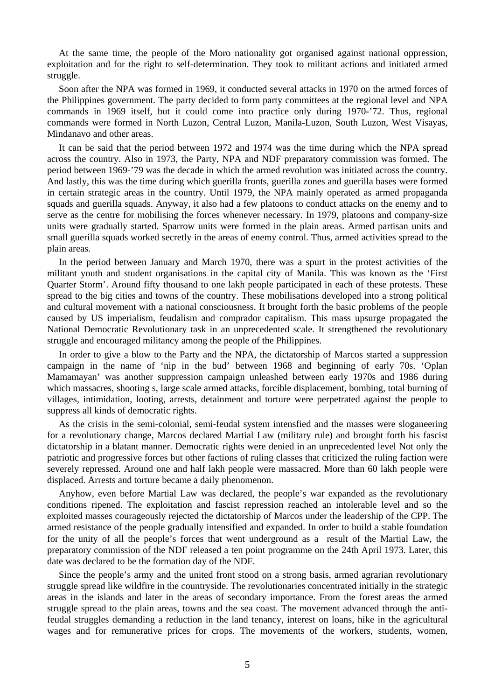At the same time, the people of the Moro nationality got organised against national oppression, exploitation and for the right to self-determination. They took to militant actions and initiated armed struggle.

Soon after the NPA was formed in 1969, it conducted several attacks in 1970 on the armed forces of the Philippines government. The party decided to form party committees at the regional level and NPA commands in 1969 itself, but it could come into practice only during 1970-'72. Thus, regional commands were formed in North Luzon, Central Luzon, Manila-Luzon, South Luzon, West Visayas, Mindanavo and other areas.

It can be said that the period between 1972 and 1974 was the time during which the NPA spread across the country. Also in 1973, the Party, NPA and NDF preparatory commission was formed. The period between 1969-'79 was the decade in which the armed revolution was initiated across the country. And lastly, this was the time during which guerilla fronts, guerilla zones and guerilla bases were formed in certain strategic areas in the country. Until 1979, the NPA mainly operated as armed propaganda squads and guerilla squads. Anyway, it also had a few platoons to conduct attacks on the enemy and to serve as the centre for mobilising the forces whenever necessary. In 1979, platoons and company-size units were gradually started. Sparrow units were formed in the plain areas. Armed partisan units and small guerilla squads worked secretly in the areas of enemy control. Thus, armed activities spread to the plain areas.

In the period between January and March 1970, there was a spurt in the protest activities of the militant youth and student organisations in the capital city of Manila. This was known as the 'First Quarter Storm'. Around fifty thousand to one lakh people participated in each of these protests. These spread to the big cities and towns of the country. These mobilisations developed into a strong political and cultural movement with a national consciousness. It brought forth the basic problems of the people caused by US imperialism, feudalism and comprador capitalism. This mass upsurge propagated the National Democratic Revolutionary task in an unprecedented scale. It strengthened the revolutionary struggle and encouraged militancy among the people of the Philippines.

In order to give a blow to the Party and the NPA, the dictatorship of Marcos started a suppression campaign in the name of 'nip in the bud' between 1968 and beginning of early 70s. 'Oplan Mamamayan' was another suppression campaign unleashed between early 1970s and 1986 during which massacres, shooting s, large scale armed attacks, forcible displacement, bombing, total burning of villages, intimidation, looting, arrests, detainment and torture were perpetrated against the people to suppress all kinds of democratic rights.

As the crisis in the semi-colonial, semi-feudal system intensfied and the masses were sloganeering for a revolutionary change, Marcos declared Martial Law (military rule) and brought forth his fascist dictatorship in a blatant manner. Democratic rights were denied in an unprecedented level Not only the patriotic and progressive forces but other factions of ruling classes that criticized the ruling faction were severely repressed. Around one and half lakh people were massacred. More than 60 lakh people were displaced. Arrests and torture became a daily phenomenon.

Anyhow, even before Martial Law was declared, the people's war expanded as the revolutionary conditions ripened. The exploitation and fascist repression reached an intolerable level and so the exploited masses courageously rejected the dictatorship of Marcos under the leadership of the CPP. The armed resistance of the people gradually intensified and expanded. In order to build a stable foundation for the unity of all the people's forces that went underground as a result of the Martial Law, the preparatory commission of the NDF released a ten point programme on the 24th April 1973. Later, this date was declared to be the formation day of the NDF.

Since the people's army and the united front stood on a strong basis, armed agrarian revolutionary struggle spread like wildfire in the countryside. The revolutionaries concentrated initially in the strategic areas in the islands and later in the areas of secondary importance. From the forest areas the armed struggle spread to the plain areas, towns and the sea coast. The movement advanced through the antifeudal struggles demanding a reduction in the land tenancy, interest on loans, hike in the agricultural wages and for remunerative prices for crops. The movements of the workers, students, women,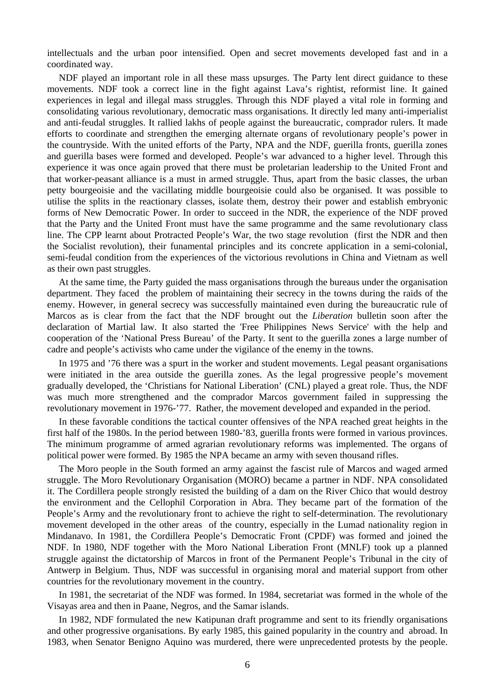intellectuals and the urban poor intensified. Open and secret movements developed fast and in a coordinated way.

NDF played an important role in all these mass upsurges. The Party lent direct guidance to these movements. NDF took a correct line in the fight against Lava's rightist, reformist line. It gained experiences in legal and illegal mass struggles. Through this NDF played a vital role in forming and consolidating various revolutionary, democratic mass organisations. It directly led many anti-imperialist and anti-feudal struggles. It rallied lakhs of people against the bureaucratic, comprador rulers. It made efforts to coordinate and strengthen the emerging alternate organs of revolutionary people's power in the countryside. With the united efforts of the Party, NPA and the NDF, guerilla fronts, guerilla zones and guerilla bases were formed and developed. People's war advanced to a higher level. Through this experience it was once again proved that there must be proletarian leadership to the United Front and that worker-peasant alliance is a must in armed struggle. Thus, apart from the basic classes, the urban petty bourgeoisie and the vacillating middle bourgeoisie could also be organised. It was possible to utilise the splits in the reactionary classes, isolate them, destroy their power and establish embryonic forms of New Democratic Power. In order to succeed in the NDR, the experience of the NDF proved that the Party and the United Front must have the same programme and the same revolutionary class line. The CPP learnt about Protracted People's War, the two stage revolution (first the NDR and then the Socialist revolution), their funamental principles and its concrete application in a semi-colonial, semi-feudal condition from the experiences of the victorious revolutions in China and Vietnam as well as their own past struggles.

At the same time, the Party guided the mass organisations through the bureaus under the organisation department. They faced the problem of maintaining their secrecy in the towns during the raids of the enemy. However, in general secrecy was successfully maintained even during the bureaucratic rule of Marcos as is clear from the fact that the NDF brought out the *Liberation* bulletin soon after the declaration of Martial law. It also started the 'Free Philippines News Service' with the help and cooperation of the 'National Press Bureau' of the Party. It sent to the guerilla zones a large number of cadre and people's activists who came under the vigilance of the enemy in the towns.

In 1975 and '76 there was a spurt in the worker and student movements. Legal peasant organisations were initiated in the area outside the guerilla zones. As the legal progressive people's movement gradually developed, the 'Christians for National Liberation' (CNL) played a great role. Thus, the NDF was much more strengthened and the comprador Marcos government failed in suppressing the revolutionary movement in 1976-'77. Rather, the movement developed and expanded in the period.

In these favorable conditions the tactical counter offensives of the NPA reached great heights in the first half of the 1980s. In the period between 1980-'83, guerilla fronts were formed in various provinces. The minimum programme of armed agrarian revolutionary reforms was implemented. The organs of political power were formed. By 1985 the NPA became an army with seven thousand rifles.

The Moro people in the South formed an army against the fascist rule of Marcos and waged armed struggle. The Moro Revolutionary Organisation (MORO) became a partner in NDF. NPA consolidated it. The Cordillera people strongly resisted the building of a dam on the River Chico that would destroy the environment and the Cellophil Corporation in Abra. They became part of the formation of the People's Army and the revolutionary front to achieve the right to self-determination. The revolutionary movement developed in the other areas of the country, especially in the Lumad nationality region in Mindanavo. In 1981, the Cordillera People's Democratic Front (CPDF) was formed and joined the NDF. In 1980, NDF together with the Moro National Liberation Front (MNLF) took up a planned struggle against the dictatorship of Marcos in front of the Permanent People's Tribunal in the city of Antwerp in Belgium. Thus, NDF was successful in organising moral and material support from other countries for the revolutionary movement in the country.

In 1981, the secretariat of the NDF was formed. In 1984, secretariat was formed in the whole of the Visayas area and then in Paane, Negros, and the Samar islands.

In 1982, NDF formulated the new Katipunan draft programme and sent to its friendly organisations and other progressive organisations. By early 1985, this gained popularity in the country and abroad. In 1983, when Senator Benigno Aquino was murdered, there were unprecedented protests by the people.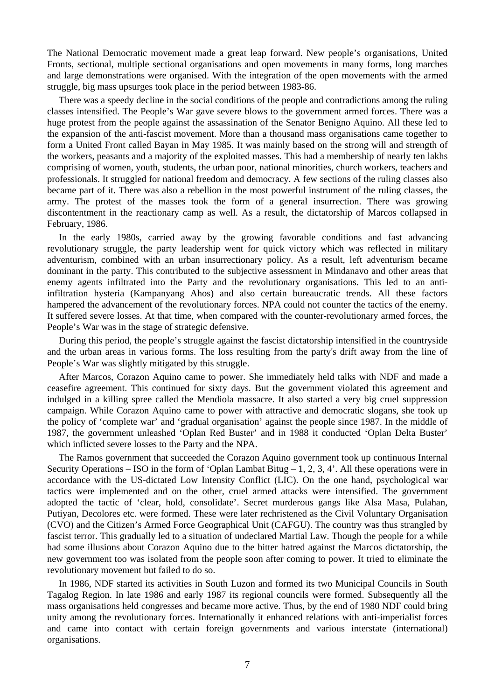The National Democratic movement made a great leap forward. New people's organisations, United Fronts, sectional, multiple sectional organisations and open movements in many forms, long marches and large demonstrations were organised. With the integration of the open movements with the armed struggle, big mass upsurges took place in the period between 1983-86.

There was a speedy decline in the social conditions of the people and contradictions among the ruling classes intensified. The People's War gave severe blows to the government armed forces. There was a huge protest from the people against the assassination of the Senator Benigno Aquino. All these led to the expansion of the anti-fascist movement. More than a thousand mass organisations came together to form a United Front called Bayan in May 1985. It was mainly based on the strong will and strength of the workers, peasants and a majority of the exploited masses. This had a membership of nearly ten lakhs comprising of women, youth, students, the urban poor, national minorities, church workers, teachers and professionals. It struggled for national freedom and democracy. A few sections of the ruling classes also became part of it. There was also a rebellion in the most powerful instrument of the ruling classes, the army. The protest of the masses took the form of a general insurrection. There was growing discontentment in the reactionary camp as well. As a result, the dictatorship of Marcos collapsed in February, 1986.

In the early 1980s, carried away by the growing favorable conditions and fast advancing revolutionary struggle, the party leadership went for quick victory which was reflected in military adventurism, combined with an urban insurrectionary policy. As a result, left adventurism became dominant in the party. This contributed to the subjective assessment in Mindanavo and other areas that enemy agents infiltrated into the Party and the revolutionary organisations. This led to an antiinfiltration hysteria (Kampanyang Ahos) and also certain bureaucratic trends. All these factors hampered the advancement of the revolutionary forces. NPA could not counter the tactics of the enemy. It suffered severe losses. At that time, when compared with the counter-revolutionary armed forces, the People's War was in the stage of strategic defensive.

During this period, the people's struggle against the fascist dictatorship intensified in the countryside and the urban areas in various forms. The loss resulting from the party's drift away from the line of People's War was slightly mitigated by this struggle.

After Marcos, Corazon Aquino came to power. She immediately held talks with NDF and made a ceasefire agreement. This continued for sixty days. But the government violated this agreement and indulged in a killing spree called the Mendiola massacre. It also started a very big cruel suppression campaign. While Corazon Aquino came to power with attractive and democratic slogans, she took up the policy of 'complete war' and 'gradual organisation' against the people since 1987. In the middle of 1987, the government unleashed 'Oplan Red Buster' and in 1988 it conducted 'Oplan Delta Buster' which inflicted severe losses to the Party and the NPA.

The Ramos government that succeeded the Corazon Aquino government took up continuous Internal Security Operations – ISO in the form of 'Oplan Lambat Bitug – 1, 2, 3, 4'. All these operations were in accordance with the US-dictated Low Intensity Conflict (LIC). On the one hand, psychological war tactics were implemented and on the other, cruel armed attacks were intensified. The government adopted the tactic of 'clear, hold, consolidate'. Secret murderous gangs like Alsa Masa, Pulahan, Putiyan, Decolores etc. were formed. These were later rechristened as the Civil Voluntary Organisation (CVO) and the Citizen's Armed Force Geographical Unit (CAFGU). The country was thus strangled by fascist terror. This gradually led to a situation of undeclared Martial Law. Though the people for a while had some illusions about Corazon Aquino due to the bitter hatred against the Marcos dictatorship, the new government too was isolated from the people soon after coming to power. It tried to eliminate the revolutionary movement but failed to do so.

In 1986, NDF started its activities in South Luzon and formed its two Municipal Councils in South Tagalog Region. In late 1986 and early 1987 its regional councils were formed. Subsequently all the mass organisations held congresses and became more active. Thus, by the end of 1980 NDF could bring unity among the revolutionary forces. Internationally it enhanced relations with anti-imperialist forces and came into contact with certain foreign governments and various interstate (international) organisations.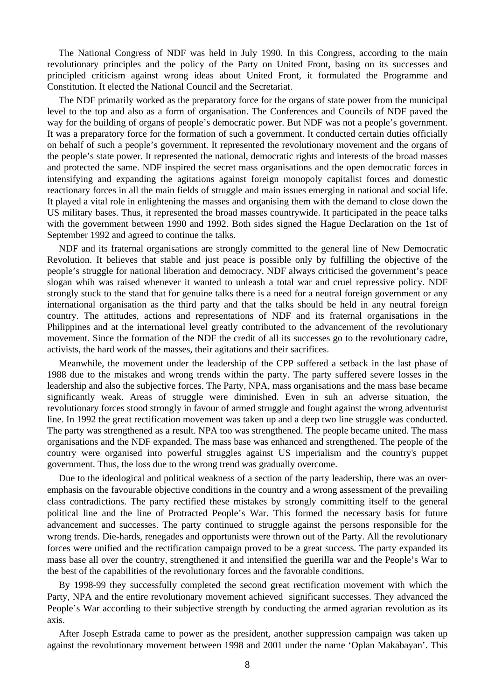The National Congress of NDF was held in July 1990. In this Congress, according to the main revolutionary principles and the policy of the Party on United Front, basing on its successes and principled criticism against wrong ideas about United Front, it formulated the Programme and Constitution. It elected the National Council and the Secretariat.

The NDF primarily worked as the preparatory force for the organs of state power from the municipal level to the top and also as a form of organisation. The Conferences and Councils of NDF paved the way for the building of organs of people's democratic power. But NDF was not a people's government. It was a preparatory force for the formation of such a government. It conducted certain duties officially on behalf of such a people's government. It represented the revolutionary movement and the organs of the people's state power. It represented the national, democratic rights and interests of the broad masses and protected the same. NDF inspired the secret mass organisations and the open democratic forces in intensifying and expanding the agitations against foreign monopoly capitalist forces and domestic reactionary forces in all the main fields of struggle and main issues emerging in national and social life. It played a vital role in enlightening the masses and organising them with the demand to close down the US military bases. Thus, it represented the broad masses countrywide. It participated in the peace talks with the government between 1990 and 1992. Both sides signed the Hague Declaration on the 1st of September 1992 and agreed to continue the talks.

NDF and its fraternal organisations are strongly committed to the general line of New Democratic Revolution. It believes that stable and just peace is possible only by fulfilling the objective of the people's struggle for national liberation and democracy. NDF always criticised the government's peace slogan whih was raised whenever it wanted to unleash a total war and cruel repressive policy. NDF strongly stuck to the stand that for genuine talks there is a need for a neutral foreign government or any international organisation as the third party and that the talks should be held in any neutral foreign country. The attitudes, actions and representations of NDF and its fraternal organisations in the Philippines and at the international level greatly contributed to the advancement of the revolutionary movement. Since the formation of the NDF the credit of all its successes go to the revolutionary cadre, activists, the hard work of the masses, their agitations and their sacrifices.

Meanwhile, the movement under the leadership of the CPP suffered a setback in the last phase of 1988 due to the mistakes and wrong trends within the party. The party suffered severe losses in the leadership and also the subjective forces. The Party, NPA, mass organisations and the mass base became significantly weak. Areas of struggle were diminished. Even in suh an adverse situation, the revolutionary forces stood strongly in favour of armed struggle and fought against the wrong adventurist line. In 1992 the great rectification movement was taken up and a deep two line struggle was conducted. The party was strengthened as a result. NPA too was strengthened. The people became united. The mass organisations and the NDF expanded. The mass base was enhanced and strengthened. The people of the country were organised into powerful struggles against US imperialism and the country's puppet government. Thus, the loss due to the wrong trend was gradually overcome.

Due to the ideological and political weakness of a section of the party leadership, there was an overemphasis on the favourable objective conditions in the country and a wrong assessment of the prevailing class contradictions. The party rectified these mistakes by strongly committing itself to the general political line and the line of Protracted People's War. This formed the necessary basis for future advancement and successes. The party continued to struggle against the persons responsible for the wrong trends. Die-hards, renegades and opportunists were thrown out of the Party. All the revolutionary forces were unified and the rectification campaign proved to be a great success. The party expanded its mass base all over the country, strengthened it and intensified the guerilla war and the People's War to the best of the capabilities of the revolutionary forces and the favorable conditions.

By 1998-99 they successfully completed the second great rectification movement with which the Party, NPA and the entire revolutionary movement achieved significant successes. They advanced the People's War according to their subjective strength by conducting the armed agrarian revolution as its axis.

After Joseph Estrada came to power as the president, another suppression campaign was taken up against the revolutionary movement between 1998 and 2001 under the name 'Oplan Makabayan'. This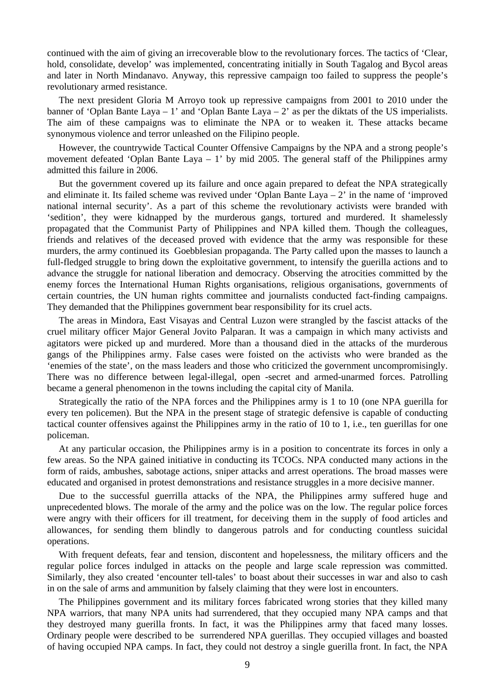continued with the aim of giving an irrecoverable blow to the revolutionary forces. The tactics of 'Clear, hold, consolidate, develop' was implemented, concentrating initially in South Tagalog and Bycol areas and later in North Mindanavo. Anyway, this repressive campaign too failed to suppress the people's revolutionary armed resistance.

The next president Gloria M Arroyo took up repressive campaigns from 2001 to 2010 under the banner of 'Oplan Bante Laya – 1' and 'Oplan Bante Laya – 2' as per the diktats of the US imperialists. The aim of these campaigns was to eliminate the NPA or to weaken it. These attacks became synonymous violence and terror unleashed on the Filipino people.

However, the countrywide Tactical Counter Offensive Campaigns by the NPA and a strong people's movement defeated 'Oplan Bante Laya – 1' by mid 2005. The general staff of the Philippines army admitted this failure in 2006.

But the government covered up its failure and once again prepared to defeat the NPA strategically and eliminate it. Its failed scheme was revived under 'Oplan Bante Laya  $-2$ ' in the name of 'improved national internal security'. As a part of this scheme the revolutionary activists were branded with 'sedition', they were kidnapped by the murderous gangs, tortured and murdered. It shamelessly propagated that the Communist Party of Philippines and NPA killed them. Though the colleagues, friends and relatives of the deceased proved with evidence that the army was responsible for these murders, the army continued its Goebblesian propaganda. The Party called upon the masses to launch a full-fledged struggle to bring down the exploitative government, to intensify the guerilla actions and to advance the struggle for national liberation and democracy. Observing the atrocities committed by the enemy forces the International Human Rights organisations, religious organisations, governments of certain countries, the UN human rights committee and journalists conducted fact-finding campaigns. They demanded that the Philippines government bear responsibility for its cruel acts.

The areas in Mindora, East Visayas and Central Luzon were strangled by the fascist attacks of the cruel military officer Major General Jovito Palparan. It was a campaign in which many activists and agitators were picked up and murdered. More than a thousand died in the attacks of the murderous gangs of the Philippines army. False cases were foisted on the activists who were branded as the 'enemies of the state', on the mass leaders and those who criticized the government uncompromisingly. There was no difference between legal-illegal, open -secret and armed-unarmed forces. Patrolling became a general phenomenon in the towns including the capital city of Manila.

Strategically the ratio of the NPA forces and the Philippines army is 1 to 10 (one NPA guerilla for every ten policemen). But the NPA in the present stage of strategic defensive is capable of conducting tactical counter offensives against the Philippines army in the ratio of 10 to 1, i.e., ten guerillas for one policeman.

At any particular occasion, the Philippines army is in a position to concentrate its forces in only a few areas. So the NPA gained initiative in conducting its TCOCs. NPA conducted many actions in the form of raids, ambushes, sabotage actions, sniper attacks and arrest operations. The broad masses were educated and organised in protest demonstrations and resistance struggles in a more decisive manner.

Due to the successful guerrilla attacks of the NPA, the Philippines army suffered huge and unprecedented blows. The morale of the army and the police was on the low. The regular police forces were angry with their officers for ill treatment, for deceiving them in the supply of food articles and allowances, for sending them blindly to dangerous patrols and for conducting countless suicidal operations.

With frequent defeats, fear and tension, discontent and hopelessness, the military officers and the regular police forces indulged in attacks on the people and large scale repression was committed. Similarly, they also created 'encounter tell-tales' to boast about their successes in war and also to cash in on the sale of arms and ammunition by falsely claiming that they were lost in encounters.

The Philippines government and its military forces fabricated wrong stories that they killed many NPA warriors, that many NPA units had surrendered, that they occupied many NPA camps and that they destroyed many guerilla fronts. In fact, it was the Philippines army that faced many losses. Ordinary people were described to be surrendered NPA guerillas. They occupied villages and boasted of having occupied NPA camps. In fact, they could not destroy a single guerilla front. In fact, the NPA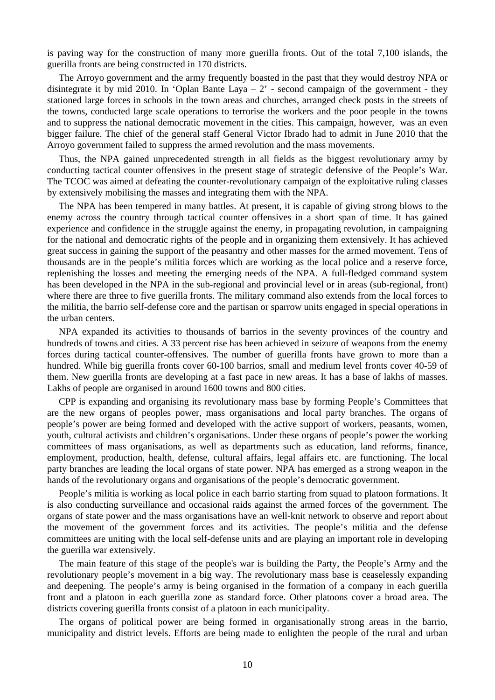is paving way for the construction of many more guerilla fronts. Out of the total 7,100 islands, the guerilla fronts are being constructed in 170 districts.

The Arroyo government and the army frequently boasted in the past that they would destroy NPA or disintegrate it by mid 2010. In 'Oplan Bante Laya  $-2$ ' - second campaign of the government - they stationed large forces in schools in the town areas and churches, arranged check posts in the streets of the towns, conducted large scale operations to terrorise the workers and the poor people in the towns and to suppress the national democratic movement in the cities. This campaign, however, was an even bigger failure. The chief of the general staff General Victor Ibrado had to admit in June 2010 that the Arroyo government failed to suppress the armed revolution and the mass movements.

Thus, the NPA gained unprecedented strength in all fields as the biggest revolutionary army by conducting tactical counter offensives in the present stage of strategic defensive of the People's War. The TCOC was aimed at defeating the counter-revolutionary campaign of the exploitative ruling classes by extensively mobilising the masses and integrating them with the NPA.

The NPA has been tempered in many battles. At present, it is capable of giving strong blows to the enemy across the country through tactical counter offensives in a short span of time. It has gained experience and confidence in the struggle against the enemy, in propagating revolution, in campaigning for the national and democratic rights of the people and in organizing them extensively. It has achieved great success in gaining the support of the peasantry and other masses for the armed movement. Tens of thousands are in the people's militia forces which are working as the local police and a reserve force, replenishing the losses and meeting the emerging needs of the NPA. A full-fledged command system has been developed in the NPA in the sub-regional and provincial level or in areas (sub-regional, front) where there are three to five guerilla fronts. The military command also extends from the local forces to the militia, the barrio self-defense core and the partisan or sparrow units engaged in special operations in the urban centers.

NPA expanded its activities to thousands of barrios in the seventy provinces of the country and hundreds of towns and cities. A 33 percent rise has been achieved in seizure of weapons from the enemy forces during tactical counter-offensives. The number of guerilla fronts have grown to more than a hundred. While big guerilla fronts cover 60-100 barrios, small and medium level fronts cover 40-59 of them. New guerilla fronts are developing at a fast pace in new areas. It has a base of lakhs of masses. Lakhs of people are organised in around 1600 towns and 800 cities.

CPP is expanding and organising its revolutionary mass base by forming People's Committees that are the new organs of peoples power, mass organisations and local party branches. The organs of people's power are being formed and developed with the active support of workers, peasants, women, youth, cultural activists and children's organisations. Under these organs of people's power the working committees of mass organisations, as well as departments such as education, land reforms, finance, employment, production, health, defense, cultural affairs, legal affairs etc. are functioning. The local party branches are leading the local organs of state power. NPA has emerged as a strong weapon in the hands of the revolutionary organs and organisations of the people's democratic government.

People's militia is working as local police in each barrio starting from squad to platoon formations. It is also conducting surveillance and occasional raids against the armed forces of the government. The organs of state power and the mass organisations have an well-knit network to observe and report about the movement of the government forces and its activities. The people's militia and the defense committees are uniting with the local self-defense units and are playing an important role in developing the guerilla war extensively.

The main feature of this stage of the people's war is building the Party, the People's Army and the revolutionary people's movement in a big way. The revolutionary mass base is ceaselessly expanding and deepening. The people's army is being organised in the formation of a company in each guerilla front and a platoon in each guerilla zone as standard force. Other platoons cover a broad area. The districts covering guerilla fronts consist of a platoon in each municipality.

The organs of political power are being formed in organisationally strong areas in the barrio, municipality and district levels. Efforts are being made to enlighten the people of the rural and urban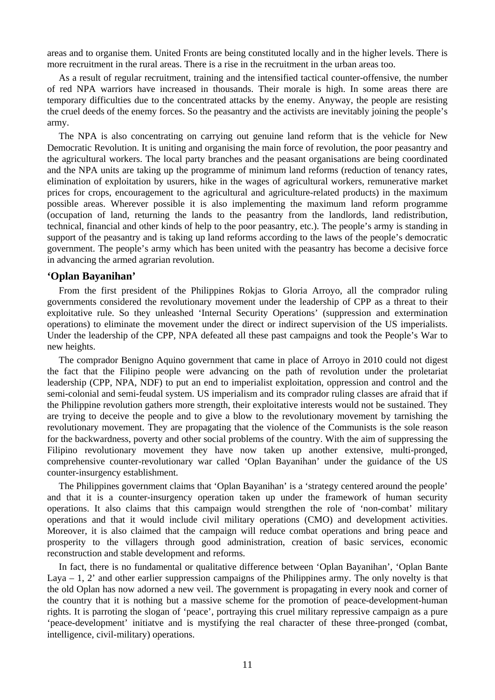areas and to organise them. United Fronts are being constituted locally and in the higher levels. There is more recruitment in the rural areas. There is a rise in the recruitment in the urban areas too.

As a result of regular recruitment, training and the intensified tactical counter-offensive, the number of red NPA warriors have increased in thousands. Their morale is high. In some areas there are temporary difficulties due to the concentrated attacks by the enemy. Anyway, the people are resisting the cruel deeds of the enemy forces. So the peasantry and the activists are inevitably joining the people's army.

The NPA is also concentrating on carrying out genuine land reform that is the vehicle for New Democratic Revolution. It is uniting and organising the main force of revolution, the poor peasantry and the agricultural workers. The local party branches and the peasant organisations are being coordinated and the NPA units are taking up the programme of minimum land reforms (reduction of tenancy rates, elimination of exploitation by usurers, hike in the wages of agricultural workers, remunerative market prices for crops, encouragement to the agricultural and agriculture-related products) in the maximum possible areas. Wherever possible it is also implementing the maximum land reform programme (occupation of land, returning the lands to the peasantry from the landlords, land redistribution, technical, financial and other kinds of help to the poor peasantry, etc.). The people's army is standing in support of the peasantry and is taking up land reforms according to the laws of the people's democratic government. The people's army which has been united with the peasantry has become a decisive force in advancing the armed agrarian revolution.

#### **'Oplan Bayanihan'**

From the first president of the Philippines Rokjas to Gloria Arroyo, all the comprador ruling governments considered the revolutionary movement under the leadership of CPP as a threat to their exploitative rule. So they unleashed 'Internal Security Operations' (suppression and extermination operations) to eliminate the movement under the direct or indirect supervision of the US imperialists. Under the leadership of the CPP, NPA defeated all these past campaigns and took the People's War to new heights.

The comprador Benigno Aquino government that came in place of Arroyo in 2010 could not digest the fact that the Filipino people were advancing on the path of revolution under the proletariat leadership (CPP, NPA, NDF) to put an end to imperialist exploitation, oppression and control and the semi-colonial and semi-feudal system. US imperialism and its comprador ruling classes are afraid that if the Philippine revolution gathers more strength, their exploitative interests would not be sustained. They are trying to deceive the people and to give a blow to the revolutionary movement by tarnishing the revolutionary movement. They are propagating that the violence of the Communists is the sole reason for the backwardness, poverty and other social problems of the country. With the aim of suppressing the Filipino revolutionary movement they have now taken up another extensive, multi-pronged, comprehensive counter-revolutionary war called 'Oplan Bayanihan' under the guidance of the US counter-insurgency establishment.

The Philippines government claims that 'Oplan Bayanihan' is a 'strategy centered around the people' and that it is a counter-insurgency operation taken up under the framework of human security operations. It also claims that this campaign would strengthen the role of 'non-combat' military operations and that it would include civil military operations (CMO) and development activities. Moreover, it is also claimed that the campaign will reduce combat operations and bring peace and prosperity to the villagers through good administration, creation of basic services, economic reconstruction and stable development and reforms.

In fact, there is no fundamental or qualitative difference between 'Oplan Bayanihan', 'Oplan Bante Laya  $-1$ , 2' and other earlier suppression campaigns of the Philippines army. The only novelty is that the old Oplan has now adorned a new veil. The government is propagating in every nook and corner of the country that it is nothing but a massive scheme for the promotion of peace-development-human rights. It is parroting the slogan of 'peace', portraying this cruel military repressive campaign as a pure 'peace-development' initiatve and is mystifying the real character of these three-pronged (combat, intelligence, civil-military) operations.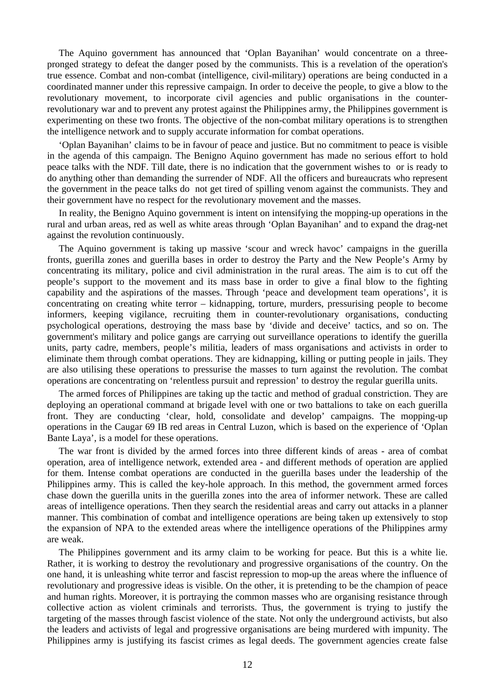The Aquino government has announced that 'Oplan Bayanihan' would concentrate on a threepronged strategy to defeat the danger posed by the communists. This is a revelation of the operation's true essence. Combat and non-combat (intelligence, civil-military) operations are being conducted in a coordinated manner under this repressive campaign. In order to deceive the people, to give a blow to the revolutionary movement, to incorporate civil agencies and public organisations in the counterrevolutionary war and to prevent any protest against the Philippines army, the Philippines government is experimenting on these two fronts. The objective of the non-combat military operations is to strengthen the intelligence network and to supply accurate information for combat operations.

'Oplan Bayanihan' claims to be in favour of peace and justice. But no commitment to peace is visible in the agenda of this campaign. The Benigno Aquino government has made no serious effort to hold peace talks with the NDF. Till date, there is no indication that the government wishes to or is ready to do anything other than demanding the surrender of NDF. All the officers and bureaucrats who represent the government in the peace talks do not get tired of spilling venom against the communists. They and their government have no respect for the revolutionary movement and the masses.

In reality, the Benigno Aquino government is intent on intensifying the mopping-up operations in the rural and urban areas, red as well as white areas through 'Oplan Bayanihan' and to expand the drag-net against the revolution continuously.

The Aquino government is taking up massive 'scour and wreck havoc' campaigns in the guerilla fronts, guerilla zones and guerilla bases in order to destroy the Party and the New People's Army by concentrating its military, police and civil administration in the rural areas. The aim is to cut off the people's support to the movement and its mass base in order to give a final blow to the fighting capability and the aspirations of the masses. Through 'peace and development team operations', it is concentrating on creating white terror – kidnapping, torture, murders, pressurising people to become informers, keeping vigilance, recruiting them in counter-revolutionary organisations, conducting psychological operations, destroying the mass base by 'divide and deceive' tactics, and so on. The government's military and police gangs are carrying out surveillance operations to identify the guerilla units, party cadre, members, people's militia, leaders of mass organisations and activists in order to eliminate them through combat operations. They are kidnapping, killing or putting people in jails. They are also utilising these operations to pressurise the masses to turn against the revolution. The combat operations are concentrating on 'relentless pursuit and repression' to destroy the regular guerilla units.

The armed forces of Philippines are taking up the tactic and method of gradual constriction. They are deploying an operational command at brigade level with one or two battalions to take on each guerilla front. They are conducting 'clear, hold, consolidate and develop' campaigns. The mopping-up operations in the Caugar 69 IB red areas in Central Luzon, which is based on the experience of 'Oplan Bante Laya', is a model for these operations.

The war front is divided by the armed forces into three different kinds of areas - area of combat operation, area of intelligence network, extended area - and different methods of operation are applied for them. Intense combat operations are conducted in the guerilla bases under the leadership of the Philippines army. This is called the key-hole approach. In this method, the government armed forces chase down the guerilla units in the guerilla zones into the area of informer network. These are called areas of intelligence operations. Then they search the residential areas and carry out attacks in a planner manner. This combination of combat and intelligence operations are being taken up extensively to stop the expansion of NPA to the extended areas where the intelligence operations of the Philippines army are weak.

The Philippines government and its army claim to be working for peace. But this is a white lie. Rather, it is working to destroy the revolutionary and progressive organisations of the country. On the one hand, it is unleashing white terror and fascist repression to mop-up the areas where the influence of revolutionary and progressive ideas is visible. On the other, it is pretending to be the champion of peace and human rights. Moreover, it is portraying the common masses who are organising resistance through collective action as violent criminals and terrorists. Thus, the government is trying to justify the targeting of the masses through fascist violence of the state. Not only the underground activists, but also the leaders and activists of legal and progressive organisations are being murdered with impunity. The Philippines army is justifying its fascist crimes as legal deeds. The government agencies create false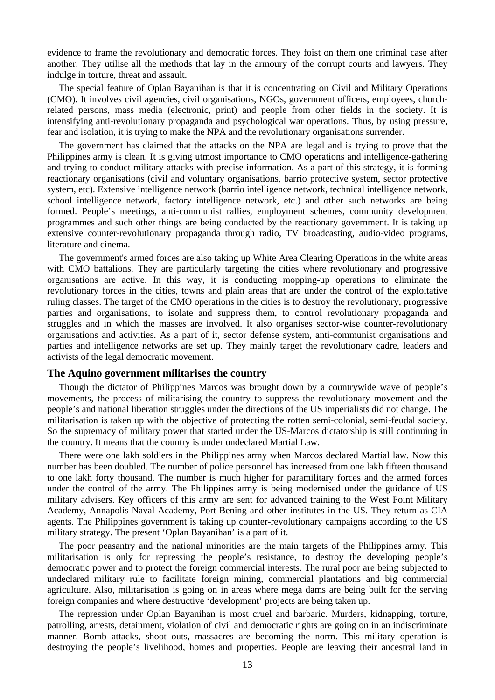evidence to frame the revolutionary and democratic forces. They foist on them one criminal case after another. They utilise all the methods that lay in the armoury of the corrupt courts and lawyers. They indulge in torture, threat and assault.

The special feature of Oplan Bayanihan is that it is concentrating on Civil and Military Operations (CMO). It involves civil agencies, civil organisations, NGOs, government officers, employees, churchrelated persons, mass media (electronic, print) and people from other fields in the society. It is intensifying anti-revolutionary propaganda and psychological war operations. Thus, by using pressure, fear and isolation, it is trying to make the NPA and the revolutionary organisations surrender.

The government has claimed that the attacks on the NPA are legal and is trying to prove that the Philippines army is clean. It is giving utmost importance to CMO operations and intelligence-gathering and trying to conduct military attacks with precise information. As a part of this strategy, it is forming reactionary organisations (civil and voluntary organisations, barrio protective system, sector protective system, etc). Extensive intelligence network (barrio intelligence network, technical intelligence network, school intelligence network, factory intelligence network, etc.) and other such networks are being formed. People's meetings, anti-communist rallies, employment schemes, community development programmes and such other things are being conducted by the reactionary government. It is taking up extensive counter-revolutionary propaganda through radio, TV broadcasting, audio-video programs, literature and cinema.

The government's armed forces are also taking up White Area Clearing Operations in the white areas with CMO battalions. They are particularly targeting the cities where revolutionary and progressive organisations are active. In this way, it is conducting mopping-up operations to eliminate the revolutionary forces in the cities, towns and plain areas that are under the control of the exploitative ruling classes. The target of the CMO operations in the cities is to destroy the revolutionary, progressive parties and organisations, to isolate and suppress them, to control revolutionary propaganda and struggles and in which the masses are involved. It also organises sector-wise counter-revolutionary organisations and activities. As a part of it, sector defense system, anti-communist organisations and parties and intelligence networks are set up. They mainly target the revolutionary cadre, leaders and activists of the legal democratic movement.

#### **The Aquino government militarises the country**

Though the dictator of Philippines Marcos was brought down by a countrywide wave of people's movements, the process of militarising the country to suppress the revolutionary movement and the people's and national liberation struggles under the directions of the US imperialists did not change. The militarisation is taken up with the objective of protecting the rotten semi-colonial, semi-feudal society. So the supremacy of military power that started under the US-Marcos dictatorship is still continuing in the country. It means that the country is under undeclared Martial Law.

There were one lakh soldiers in the Philippines army when Marcos declared Martial law. Now this number has been doubled. The number of police personnel has increased from one lakh fifteen thousand to one lakh forty thousand. The number is much higher for paramilitary forces and the armed forces under the control of the army. The Philippines army is being modernised under the guidance of US military advisers. Key officers of this army are sent for advanced training to the West Point Military Academy, Annapolis Naval Academy, Port Bening and other institutes in the US. They return as CIA agents. The Philippines government is taking up counter-revolutionary campaigns according to the US military strategy. The present 'Oplan Bayanihan' is a part of it.

The poor peasantry and the national minorities are the main targets of the Philippines army. This militarisation is only for repressing the people's resistance, to destroy the developing people's democratic power and to protect the foreign commercial interests. The rural poor are being subjected to undeclared military rule to facilitate foreign mining, commercial plantations and big commercial agriculture. Also, militarisation is going on in areas where mega dams are being built for the serving foreign companies and where destructive 'development' projects are being taken up.

The repression under Oplan Bayanihan is most cruel and barbaric. Murders, kidnapping, torture, patrolling, arrests, detainment, violation of civil and democratic rights are going on in an indiscriminate manner. Bomb attacks, shoot outs, massacres are becoming the norm. This military operation is destroying the people's livelihood, homes and properties. People are leaving their ancestral land in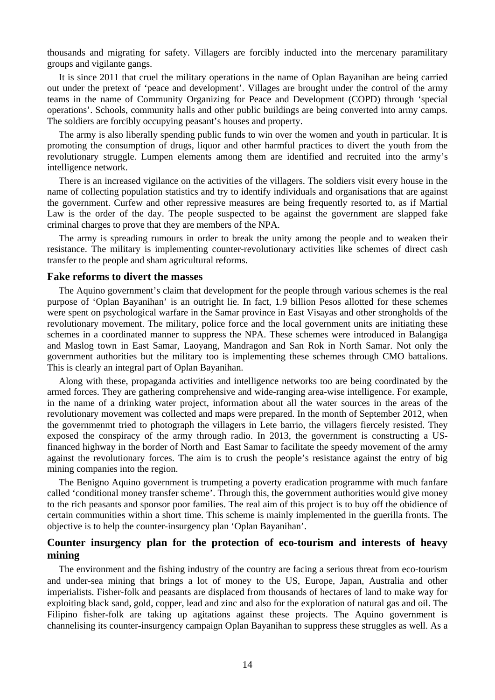thousands and migrating for safety. Villagers are forcibly inducted into the mercenary paramilitary groups and vigilante gangs.

It is since 2011 that cruel the military operations in the name of Oplan Bayanihan are being carried out under the pretext of 'peace and development'. Villages are brought under the control of the army teams in the name of Community Organizing for Peace and Development (COPD) through 'special operations'. Schools, community halls and other public buildings are being converted into army camps. The soldiers are forcibly occupying peasant's houses and property.

The army is also liberally spending public funds to win over the women and youth in particular. It is promoting the consumption of drugs, liquor and other harmful practices to divert the youth from the revolutionary struggle. Lumpen elements among them are identified and recruited into the army's intelligence network.

There is an increased vigilance on the activities of the villagers. The soldiers visit every house in the name of collecting population statistics and try to identify individuals and organisations that are against the government. Curfew and other repressive measures are being frequently resorted to, as if Martial Law is the order of the day. The people suspected to be against the government are slapped fake criminal charges to prove that they are members of the NPA.

The army is spreading rumours in order to break the unity among the people and to weaken their resistance. The military is implementing counter-revolutionary activities like schemes of direct cash transfer to the people and sham agricultural reforms.

#### **Fake reforms to divert the masses**

The Aquino government's claim that development for the people through various schemes is the real purpose of 'Oplan Bayanihan' is an outright lie. In fact, 1.9 billion Pesos allotted for these schemes were spent on psychological warfare in the Samar province in East Visayas and other strongholds of the revolutionary movement. The military, police force and the local government units are initiating these schemes in a coordinated manner to suppress the NPA. These schemes were introduced in Balangiga and Maslog town in East Samar, Laoyang, Mandragon and San Rok in North Samar. Not only the government authorities but the military too is implementing these schemes through CMO battalions. This is clearly an integral part of Oplan Bayanihan.

Along with these, propaganda activities and intelligence networks too are being coordinated by the armed forces. They are gathering comprehensive and wide-ranging area-wise intelligence. For example, in the name of a drinking water project, information about all the water sources in the areas of the revolutionary movement was collected and maps were prepared. In the month of September 2012, when the governmenmt tried to photograph the villagers in Lete barrio, the villagers fiercely resisted. They exposed the conspiracy of the army through radio. In 2013, the government is constructing a USfinanced highway in the border of North and East Samar to facilitate the speedy movement of the army against the revolutionary forces. The aim is to crush the people's resistance against the entry of big mining companies into the region.

The Benigno Aquino government is trumpeting a poverty eradication programme with much fanfare called 'conditional money transfer scheme'. Through this, the government authorities would give money to the rich peasants and sponsor poor families. The real aim of this project is to buy off the obidience of certain communities within a short time. This scheme is mainly implemented in the guerilla fronts. The objective is to help the counter-insurgency plan 'Oplan Bayanihan'.

## **Counter insurgency plan for the protection of eco-tourism and interests of heavy mining**

The environment and the fishing industry of the country are facing a serious threat from eco-tourism and under-sea mining that brings a lot of money to the US, Europe, Japan, Australia and other imperialists. Fisher-folk and peasants are displaced from thousands of hectares of land to make way for exploiting black sand, gold, copper, lead and zinc and also for the exploration of natural gas and oil. The Filipino fisher-folk are taking up agitations against these projects. The Aquino government is channelising its counter-insurgency campaign Oplan Bayanihan to suppress these struggles as well. As a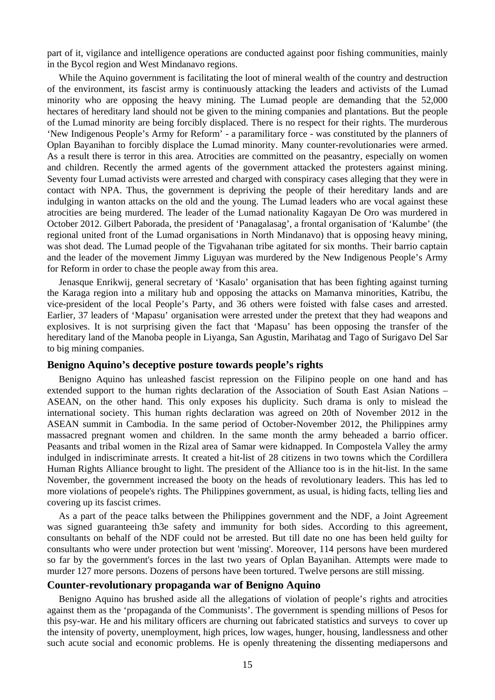part of it, vigilance and intelligence operations are conducted against poor fishing communities, mainly in the Bycol region and West Mindanavo regions.

While the Aquino government is facilitating the loot of mineral wealth of the country and destruction of the environment, its fascist army is continuously attacking the leaders and activists of the Lumad minority who are opposing the heavy mining. The Lumad people are demanding that the 52,000 hectares of hereditary land should not be given to the mining companies and plantations. But the people of the Lumad minority are being forcibly displaced. There is no respect for their rights. The murderous 'New Indigenous People's Army for Reform' - a paramilitary force - was constituted by the planners of Oplan Bayanihan to forcibly displace the Lumad minority. Many counter-revolutionaries were armed. As a result there is terror in this area. Atrocities are committed on the peasantry, especially on women and children. Recently the armed agents of the government attacked the protesters against mining. Seventy four Lumad activists were arrested and charged with conspiracy cases alleging that they were in contact with NPA. Thus, the government is depriving the people of their hereditary lands and are indulging in wanton attacks on the old and the young. The Lumad leaders who are vocal against these atrocities are being murdered. The leader of the Lumad nationality Kagayan De Oro was murdered in October 2012. Gilbert Paborada, the president of 'Panagalasag', a frontal organisation of 'Kalumbe' (the regional united front of the Lumad organisations in North Mindanavo) that is opposing heavy mining, was shot dead. The Lumad people of the Tigvahanan tribe agitated for six months. Their barrio captain and the leader of the movement Jimmy Liguyan was murdered by the New Indigenous People's Army for Reform in order to chase the people away from this area.

Jenasque Enrikwij, general secretary of 'Kasalo' organisation that has been fighting against turning the Karaga region into a military hub and opposing the attacks on Mamanva minorities, Katribu, the vice-president of the local People's Party, and 36 others were foisted with false cases and arrested. Earlier, 37 leaders of 'Mapasu' organisation were arrested under the pretext that they had weapons and explosives. It is not surprising given the fact that 'Mapasu' has been opposing the transfer of the hereditary land of the Manoba people in Liyanga, San Agustin, Marihatag and Tago of Surigavo Del Sar to big mining companies.

#### **Benigno Aquino's deceptive posture towards people's rights**

Benigno Aquino has unleashed fascist repression on the Filipino people on one hand and has extended support to the human rights declaration of the Association of South East Asian Nations – ASEAN, on the other hand. This only exposes his duplicity. Such drama is only to mislead the international society. This human rights declaration was agreed on 20th of November 2012 in the ASEAN summit in Cambodia. In the same period of October-November 2012, the Philippines army massacred pregnant women and children. In the same month the army beheaded a barrio officer. Peasants and tribal women in the Rizal area of Samar were kidnapped. In Compostela Valley the army indulged in indiscriminate arrests. It created a hit-list of 28 citizens in two towns which the Cordillera Human Rights Alliance brought to light. The president of the Alliance too is in the hit-list. In the same November, the government increased the booty on the heads of revolutionary leaders. This has led to more violations of peopele's rights. The Philippines government, as usual, is hiding facts, telling lies and covering up its fascist crimes.

As a part of the peace talks between the Philippines government and the NDF, a Joint Agreement was signed guaranteeing th3e safety and immunity for both sides. According to this agreement, consultants on behalf of the NDF could not be arrested. But till date no one has been held guilty for consultants who were under protection but went 'missing'. Moreover, 114 persons have been murdered so far by the government's forces in the last two years of Oplan Bayanihan. Attempts were made to murder 127 more persons. Dozens of persons have been tortured. Twelve persons are still missing.

#### **Counter-revolutionary propaganda war of Benigno Aquino**

Benigno Aquino has brushed aside all the allegations of violation of people's rights and atrocities against them as the 'propaganda of the Communists'. The government is spending millions of Pesos for this psy-war. He and his military officers are churning out fabricated statistics and surveys to cover up the intensity of poverty, unemployment, high prices, low wages, hunger, housing, landlessness and other such acute social and economic problems. He is openly threatening the dissenting mediapersons and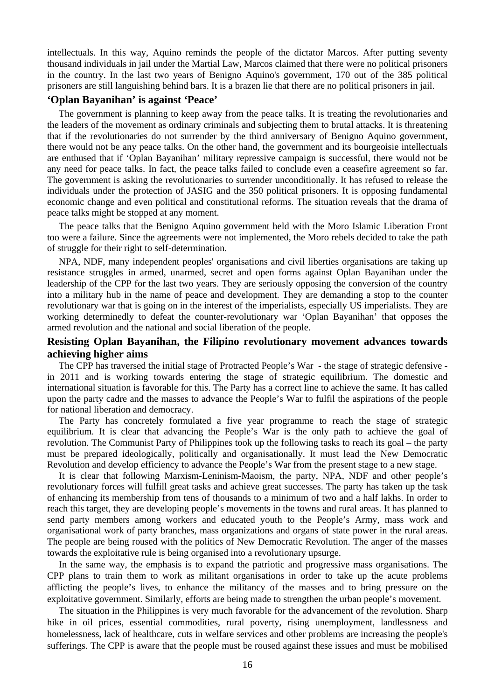intellectuals. In this way, Aquino reminds the people of the dictator Marcos. After putting seventy thousand individuals in jail under the Martial Law, Marcos claimed that there were no political prisoners in the country. In the last two years of Benigno Aquino's government, 170 out of the 385 political prisoners are still languishing behind bars. It is a brazen lie that there are no political prisoners in jail.

### **'Oplan Bayanihan' is against 'Peace'**

The government is planning to keep away from the peace talks. It is treating the revolutionaries and the leaders of the movement as ordinary criminals and subjecting them to brutal attacks. It is threatening that if the revolutionaries do not surrender by the third anniversary of Benigno Aquino government, there would not be any peace talks. On the other hand, the government and its bourgeoisie intellectuals are enthused that if 'Oplan Bayanihan' military repressive campaign is successful, there would not be any need for peace talks. In fact, the peace talks failed to conclude even a ceasefire agreement so far. The government is asking the revolutionaries to surrender unconditionally. It has refused to release the individuals under the protection of JASIG and the 350 political prisoners. It is opposing fundamental economic change and even political and constitutional reforms. The situation reveals that the drama of peace talks might be stopped at any moment.

The peace talks that the Benigno Aquino government held with the Moro Islamic Liberation Front too were a failure. Since the agreements were not implemented, the Moro rebels decided to take the path of struggle for their right to self-determination.

NPA, NDF, many independent peoples' organisations and civil liberties organisations are taking up resistance struggles in armed, unarmed, secret and open forms against Oplan Bayanihan under the leadership of the CPP for the last two years. They are seriously opposing the conversion of the country into a military hub in the name of peace and development. They are demanding a stop to the counter revolutionary war that is going on in the interest of the imperialists, especially US imperialists. They are working determinedly to defeat the counter-revolutionary war 'Oplan Bayanihan' that opposes the armed revolution and the national and social liberation of the people.

## **Resisting Oplan Bayanihan, the Filipino revolutionary movement advances towards achieving higher aims**

The CPP has traversed the initial stage of Protracted People's War - the stage of strategic defensive in 2011 and is working towards entering the stage of strategic equilibrium. The domestic and international situation is favorable for this. The Party has a correct line to achieve the same. It has called upon the party cadre and the masses to advance the People's War to fulfil the aspirations of the people for national liberation and democracy.

The Party has concretely formulated a five year programme to reach the stage of strategic equilibrium. It is clear that advancing the People's War is the only path to achieve the goal of revolution. The Communist Party of Philippines took up the following tasks to reach its goal – the party must be prepared ideologically, politically and organisationally. It must lead the New Democratic Revolution and develop efficiency to advance the People's War from the present stage to a new stage.

It is clear that following Marxism-Leninism-Maoism, the party, NPA, NDF and other people's revolutionary forces will fulfill great tasks and achieve great successes. The party has taken up the task of enhancing its membership from tens of thousands to a minimum of two and a half lakhs. In order to reach this target, they are developing people's movements in the towns and rural areas. It has planned to send party members among workers and educated youth to the People's Army, mass work and organisational work of party branches, mass organizations and organs of state power in the rural areas. The people are being roused with the politics of New Democratic Revolution. The anger of the masses towards the exploitative rule is being organised into a revolutionary upsurge.

In the same way, the emphasis is to expand the patriotic and progressive mass organisations. The CPP plans to train them to work as militant organisations in order to take up the acute problems afflicting the people's lives, to enhance the militancy of the masses and to bring pressure on the exploitative government. Similarly, efforts are being made to strengthen the urban people's movement.

The situation in the Philippines is very much favorable for the advancement of the revolution. Sharp hike in oil prices, essential commodities, rural poverty, rising unemployment, landlessness and homelessness, lack of healthcare, cuts in welfare services and other problems are increasing the people's sufferings. The CPP is aware that the people must be roused against these issues and must be mobilised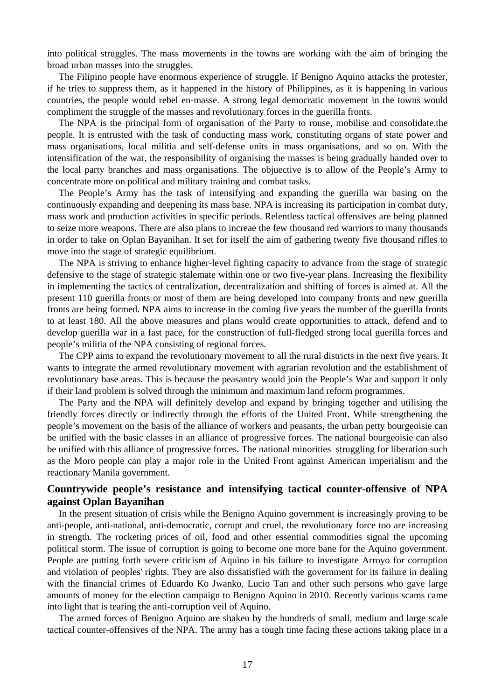into political struggles. The mass movements in the towns are working with the aim of bringing the broad urban masses into the struggles.

The Filipino people have enormous experience of struggle. If Benigno Aquino attacks the protester, if he tries to suppress them, as it happened in the history of Philippines, as it is happening in various countries, the people would rebel en-masse. A strong legal democratic movement in the towns would compliment the struggle of the masses and revolutionary forces in the guerilla fronts.

The NPA is the principal form of organisation of the Party to rouse, mobilise and consolidate.the people. It is entrusted with the task of conducting mass work, constituting organs of state power and mass organisations, local militia and self-defense units in mass organisations, and so on. With the intensification of the war, the responsibility of organising the masses is being gradually handed over to the local party branches and mass organisations. The objuective is to allow of the People's Army to concentrate more on political and military training and combat tasks.

The People's Army has the task of intensifying and expanding the guerilla war basing on the continuously expanding and deepening its mass base. NPA is increasing its participation in combat duty, mass work and production activities in specific periods. Relentless tactical offensives are being planned to seize more weapons. There are also plans to increae the few thousand red warriors to many thousands in order to take on Oplan Bayanihan. It set for itself the aim of gathering twenty five thousand rifles to move into the stage of strategic equilibrium.

The NPA is striving to enhance higher-level fighting capacity to advance from the stage of strategic defensive to the stage of strategic stalemate within one or two five-year plans. Increasing the flexibility in implementing the tactics of centralization, decentralization and shifting of forces is aimed at. All the present 110 guerilla fronts or most of them are being developed into company fronts and new guerilla fronts are being formed. NPA aims to increase in the coming five years the number of the guerilla fronts to at least 180. All the above measures and plans would create opportunities to attack, defend and to develop guerilla war in a fast pace, for the construction of full-fledged strong local guerilla forces and people's militia of the NPA consisting of regional forces.

The CPP aims to expand the revolutionary movement to all the rural districts in the next five years. It wants to integrate the armed revolutionary movement with agrarian revolution and the establishment of revolutionary base areas. This is because the peasantry would join the People's War and support it only if their land problem is solved through the minimum and maximum land reform programmes.

The Party and the NPA will definitely develop and expand by bringing together and utilising the friendly forces directly or indirectly through the efforts of the United Front. While strengthening the people's movement on the basis of the alliance of workers and peasants, the urban petty bourgeoisie can be unified with the basic classes in an alliance of progressive forces. The national bourgeoisie can also be unified with this alliance of progressive forces. The national minorities struggling for liberation such as the Moro people can play a major role in the United Front against American imperialism and the reactionary Manila government.

## **Countrywide people's resistance and intensifying tactical counter-offensive of NPA against Oplan Bayanihan**

In the present situation of crisis while the Benigno Aquino government is increasingly proving to be anti-people, anti-national, anti-democratic, corrupt and cruel, the revolutionary force too are increasing in strength. The rocketing prices of oil, food and other essential commodities signal the upcoming political storm. The issue of corruption is going to become one more bane for the Aquino government. People are putting forth severe criticism of Aquino in his failure to investigate Arroyo for corruption and violation of peoples' rights. They are also dissatisfied with the government for its failure in dealing with the financial crimes of Eduardo Ko Jwanko, Lucio Tan and other such persons who gave large amounts of money for the election campaign to Benigno Aquino in 2010. Recently various scams came into light that is tearing the anti-corruption veil of Aquino.

The armed forces of Benigno Aquino are shaken by the hundreds of small, medium and large scale tactical counter-offensives of the NPA. The army has a tough time facing these actions taking place in a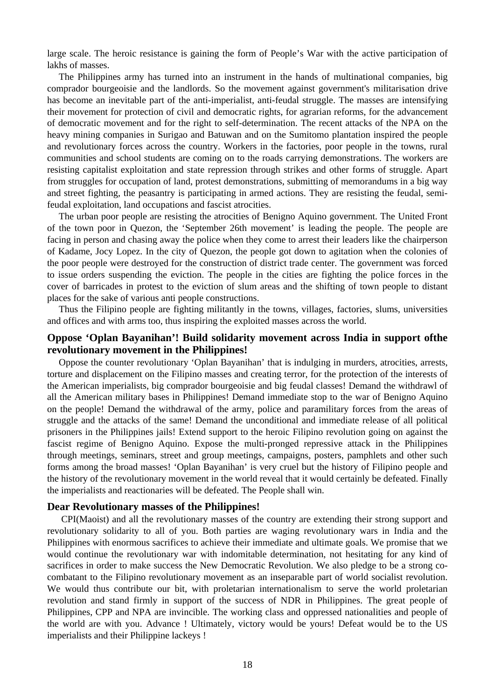large scale. The heroic resistance is gaining the form of People's War with the active participation of lakhs of masses.

The Philippines army has turned into an instrument in the hands of multinational companies, big comprador bourgeoisie and the landlords. So the movement against government's militarisation drive has become an inevitable part of the anti-imperialist, anti-feudal struggle. The masses are intensifying their movement for protection of civil and democratic rights, for agrarian reforms, for the advancement of democratic movement and for the right to self-determination. The recent attacks of the NPA on the heavy mining companies in Surigao and Batuwan and on the Sumitomo plantation inspired the people and revolutionary forces across the country. Workers in the factories, poor people in the towns, rural communities and school students are coming on to the roads carrying demonstrations. The workers are resisting capitalist exploitation and state repression through strikes and other forms of struggle. Apart from struggles for occupation of land, protest demonstrations, submitting of memorandums in a big way and street fighting, the peasantry is participating in armed actions. They are resisting the feudal, semifeudal exploitation, land occupations and fascist atrocities.

The urban poor people are resisting the atrocities of Benigno Aquino government. The United Front of the town poor in Quezon, the 'September 26th movement' is leading the people. The people are facing in person and chasing away the police when they come to arrest their leaders like the chairperson of Kadame, Jocy Lopez. In the city of Quezon, the people got down to agitation when the colonies of the poor people were destroyed for the construction of district trade center. The government was forced to issue orders suspending the eviction. The people in the cities are fighting the police forces in the cover of barricades in protest to the eviction of slum areas and the shifting of town people to distant places for the sake of various anti people constructions.

Thus the Filipino people are fighting militantly in the towns, villages, factories, slums, universities and offices and with arms too, thus inspiring the exploited masses across the world.

## **Oppose 'Oplan Bayanihan'! Build solidarity movement across India in support ofthe revolutionary movement in the Philippines!**

Oppose the counter revolutionary 'Oplan Bayanihan' that is indulging in murders, atrocities, arrests, torture and displacement on the Filipino masses and creating terror, for the protection of the interests of the American imperialists, big comprador bourgeoisie and big feudal classes! Demand the withdrawl of all the American military bases in Philippines! Demand immediate stop to the war of Benigno Aquino on the people! Demand the withdrawal of the army, police and paramilitary forces from the areas of struggle and the attacks of the same! Demand the unconditional and immediate release of all political prisoners in the Philippines jails! Extend support to the heroic Filipino revolution going on against the fascist regime of Benigno Aquino. Expose the multi-pronged repressive attack in the Philippines through meetings, seminars, street and group meetings, campaigns, posters, pamphlets and other such forms among the broad masses! 'Oplan Bayanihan' is very cruel but the history of Filipino people and the history of the revolutionary movement in the world reveal that it would certainly be defeated. Finally the imperialists and reactionaries will be defeated. The People shall win.

#### **Dear Revolutionary masses of the Philippines!**

CPI(Maoist) and all the revolutionary masses of the country are extending their strong support and revolutionary solidarity to all of you. Both parties are waging revolutionary wars in India and the Philippines with enormous sacrifices to achieve their immediate and ultimate goals. We promise that we would continue the revolutionary war with indomitable determination, not hesitating for any kind of sacrifices in order to make success the New Democratic Revolution. We also pledge to be a strong cocombatant to the Filipino revolutionary movement as an inseparable part of world socialist revolution. We would thus contribute our bit, with proletarian internationalism to serve the world proletarian revolution and stand firmly in support of the success of NDR in Philippines. The great people of Philippines, CPP and NPA are invincible. The working class and oppressed nationalities and people of the world are with you. Advance ! Ultimately, victory would be yours! Defeat would be to the US imperialists and their Philippine lackeys !